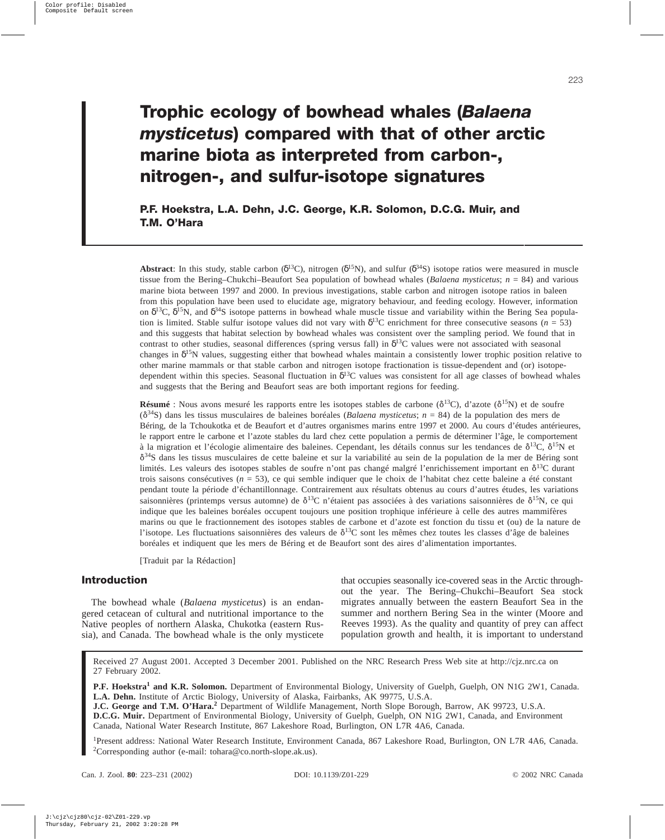# **Trophic ecology of bowhead whales (***Balaena mysticetus***) compared with that of other arctic marine biota as interpreted from carbon-, nitrogen-, and sulfur-isotope signatures**

**P.F. Hoekstra, L.A. Dehn, J.C. George, K.R. Solomon, D.C.G. Muir, and T.M. O'Hara**

**Abstract**: In this study, stable carbon ( $\delta^{13}C$ ), nitrogen ( $\delta^{15}N$ ), and sulfur ( $\delta^{34}S$ ) isotope ratios were measured in muscle tissue from the Bering–Chukchi–Beaufort Sea population of bowhead whales (*Balaena mysticetus*; *n* = 84) and various marine biota between 1997 and 2000. In previous investigations, stable carbon and nitrogen isotope ratios in baleen from this population have been used to elucidate age, migratory behaviour, and feeding ecology. However, information on  $\delta^{13}$ C,  $\delta^{15}$ N, and  $\delta^{34}$ S isotope patterns in bowhead whale muscle tissue and variability within the Bering Sea population is limited. Stable sulfur isotope values did not vary with  $\delta^{13}C$  enrichment for three consecutive seasons ( $n = 53$ ) and this suggests that habitat selection by bowhead whales was consistent over the sampling period. We found that in contrast to other studies, seasonal differences (spring versus fall) in  $\delta^{13}C$  values were not associated with seasonal changes in  $\delta^{15}$ N values, suggesting either that bowhead whales maintain a consistently lower trophic position relative to other marine mammals or that stable carbon and nitrogen isotope fractionation is tissue-dependent and (or) isotopedependent within this species. Seasonal fluctuation in  $\delta^{13}C$  values was consistent for all age classes of bowhead whales and suggests that the Bering and Beaufort seas are both important regions for feeding.

**Résumé** : Nous avons mesuré les rapports entre les isotopes stables de carbone ( $\delta^{13}C$ ), d'azote ( $\delta^{15}N$ ) et de soufre (\*34S) dans les tissus musculaires de baleines boréales (*Balaena mysticetus*; *n* = 84) de la population des mers de Béring, de la Tchoukotka et de Beaufort et d'autres organismes marins entre 1997 et 2000. Au cours d'études antérieures, le rapport entre le carbone et l'azote stables du lard chez cette population a permis de déterminer l'âge, le comportement à la migration et l'écologie alimentaire des baleines. Cependant, les détails connus sur les tendances de  $\delta^{13}C$ ,  $\delta^{15}N$  et  $\delta^{34}$ S dans les tissus musculaires de cette baleine et sur la variabilité au sein de la population de la mer de Béring sont limités. Les valeurs des isotopes stables de soufre n'ont pas changé malgré l'enrichissement important en  $\delta^{13}C$  durant trois saisons consécutives (*n* = 53), ce qui semble indiquer que le choix de l'habitat chez cette baleine a été constant pendant toute la période d'échantillonnage. Contrairement aux résultats obtenus au cours d'autres études, les variations saisonnières (printemps versus automne) de  $\delta^{13}C$  n'étaient pas associées à des variations saisonnières de  $\delta^{15}N$ , ce qui indique que les baleines boréales occupent toujours une position trophique inférieure à celle des autres mammifères marins ou que le fractionnement des isotopes stables de carbone et d'azote est fonction du tissu et (ou) de la nature de l'isotope. Les fluctuations saisonnières des valeurs de  $\delta^{13}C$  sont les mêmes chez toutes les classes d'âge de baleines boréales et indiquent que les mers de Béring et de Beaufort sont des aires d'alimentation importantes.

[Traduit par la Rédaction]

# **Introduction**

The bowhead whale (*Balaena mysticetus*) is an endangered cetacean of cultural and nutritional importance to the Native peoples of northern Alaska, Chukotka (eastern Russia), and Canada. The bowhead whale is the only mysticete that occupies seasonally ice-covered seas in the Arctic throughout the year. The Bering–Chukchi–Beaufort Sea stock migrates annually between the eastern Beaufort Sea in the summer and northern Bering Sea in the winter (Moore and Reeves 1993). As the quality and quantity of prey can affect population growth and health, it is important to understand

Received 27 August 2001. Accepted 3 December 2001. Published on the NRC Research Press Web site at http://cjz.nrc.ca on 27 February 2002.

**P.F. Hoekstra<sup>1</sup> and K.R. Solomon.** Department of Environmental Biology, University of Guelph, Guelph, ON N1G 2W1, Canada. **L.A. Dehn.** Institute of Arctic Biology, University of Alaska, Fairbanks, AK 99775, U.S.A. **J.C. George and T.M. O'Hara.<sup>2</sup>** Department of Wildlife Management, North Slope Borough, Barrow, AK 99723, U.S.A.

**D.C.G. Muir.** Department of Environmental Biology, University of Guelph, Guelph, ON N1G 2W1, Canada, and Environment Canada, National Water Research Institute, 867 Lakeshore Road, Burlington, ON L7R 4A6, Canada.

<sup>1</sup>Present address: National Water Research Institute, Environment Canada, 867 Lakeshore Road, Burlington, ON L7R 4A6, Canada. 2 Corresponding author (e-mail: tohara@co.north-slope.ak.us).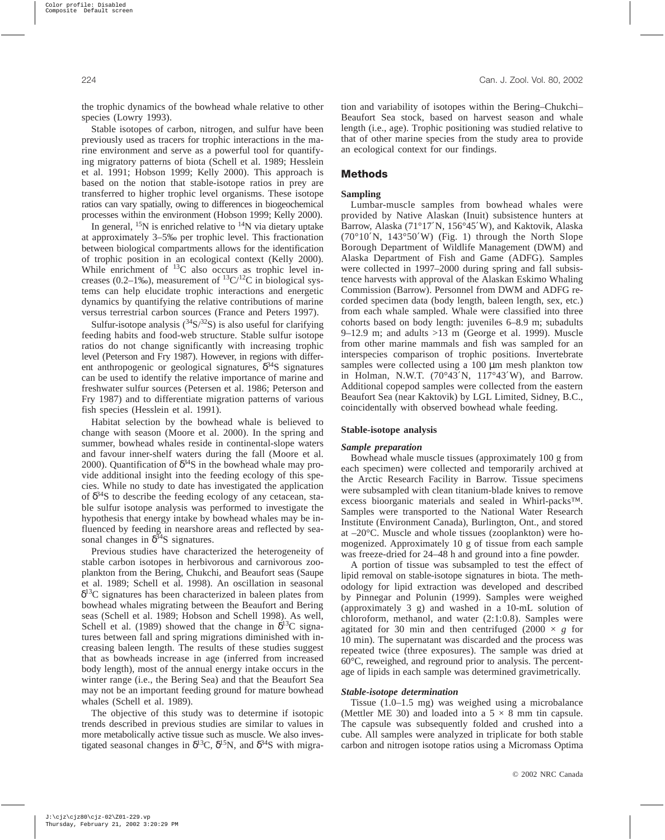the trophic dynamics of the bowhead whale relative to other species (Lowry 1993).

Stable isotopes of carbon, nitrogen, and sulfur have been previously used as tracers for trophic interactions in the marine environment and serve as a powerful tool for quantifying migratory patterns of biota (Schell et al. 1989; Hesslein et al. 1991; Hobson 1999; Kelly 2000). This approach is based on the notion that stable-isotope ratios in prey are transferred to higher trophic level organisms. These isotope ratios can vary spatially, owing to differences in biogeochemical processes within the environment (Hobson 1999; Kelly 2000).

In general,  $^{15}N$  is enriched relative to  $^{14}N$  via dietary uptake at approximately 3–5‰ per trophic level. This fractionation between biological compartments allows for the identification of trophic position in an ecological context (Kelly 2000). While enrichment of <sup>13</sup>C also occurs as trophic level increases (0.2–1‰), measurement of  ${}^{13}C/{}^{12}C$  in biological systems can help elucidate trophic interactions and energetic dynamics by quantifying the relative contributions of marine versus terrestrial carbon sources (France and Peters 1997).

Sulfur-isotope analysis  $(^{34}S/^{32}S)$  is also useful for clarifying feeding habits and food-web structure. Stable sulfur isotope ratios do not change significantly with increasing trophic level (Peterson and Fry 1987). However, in regions with different anthropogenic or geological signatures,  $\delta^{34}S$  signatures can be used to identify the relative importance of marine and freshwater sulfur sources (Petersen et al. 1986; Peterson and Fry 1987) and to differentiate migration patterns of various fish species (Hesslein et al. 1991).

Habitat selection by the bowhead whale is believed to change with season (Moore et al. 2000). In the spring and summer, bowhead whales reside in continental-slope waters and favour inner-shelf waters during the fall (Moore et al. 2000). Quantification of  $\delta^{34}S$  in the bowhead whale may provide additional insight into the feeding ecology of this species. While no study to date has investigated the application of  $\delta^{34}$ S to describe the feeding ecology of any cetacean, stable sulfur isotope analysis was performed to investigate the hypothesis that energy intake by bowhead whales may be influenced by feeding in nearshore areas and reflected by seasonal changes in  $\delta^{34}$ S signatures.

Previous studies have characterized the heterogeneity of stable carbon isotopes in herbivorous and carnivorous zooplankton from the Bering, Chukchi, and Beaufort seas (Saupe et al. 1989; Schell et al. 1998). An oscillation in seasonal  $\delta^{13}$ C signatures has been characterized in baleen plates from bowhead whales migrating between the Beaufort and Bering seas (Schell et al. 1989; Hobson and Schell 1998). As well, Schell et al. (1989) showed that the change in  $\delta^{13}C$  signatures between fall and spring migrations diminished with increasing baleen length. The results of these studies suggest that as bowheads increase in age (inferred from increased body length), most of the annual energy intake occurs in the winter range (i.e., the Bering Sea) and that the Beaufort Sea may not be an important feeding ground for mature bowhead whales (Schell et al. 1989).

The objective of this study was to determine if isotopic trends described in previous studies are similar to values in more metabolically active tissue such as muscle. We also investigated seasonal changes in  $\delta^{13}C$ ,  $\delta^{15}N$ , and  $\delta^{34}S$  with migration and variability of isotopes within the Bering–Chukchi– Beaufort Sea stock, based on harvest season and whale length (i.e., age). Trophic positioning was studied relative to that of other marine species from the study area to provide an ecological context for our findings.

## **Methods**

#### **Sampling**

Lumbar-muscle samples from bowhead whales were provided by Native Alaskan (Inuit) subsistence hunters at Barrow, Alaska (71°17′N, 156°45′W), and Kaktovik, Alaska  $(70^{\circ}10^{\prime}N, 143^{\circ}50^{\prime}W)$  (Fig. 1) through the North Slope Borough Department of Wildlife Management (DWM) and Alaska Department of Fish and Game (ADFG). Samples were collected in 1997–2000 during spring and fall subsistence harvests with approval of the Alaskan Eskimo Whaling Commission (Barrow). Personnel from DWM and ADFG recorded specimen data (body length, baleen length, sex, etc.) from each whale sampled. Whale were classified into three cohorts based on body length: juveniles 6–8.9 m; subadults 9–12.9 m; and adults >13 m (George et al. 1999). Muscle from other marine mammals and fish was sampled for an interspecies comparison of trophic positions. Invertebrate samples were collected using a 100  $\mu$ m mesh plankton tow in Holman, N.W.T. (70°43′N, 117°43′W), and Barrow. Additional copepod samples were collected from the eastern Beaufort Sea (near Kaktovik) by LGL Limited, Sidney, B.C., coincidentally with observed bowhead whale feeding.

## **Stable-isotope analysis**

#### *Sample preparation*

Bowhead whale muscle tissues (approximately 100 g from each specimen) were collected and temporarily archived at the Arctic Research Facility in Barrow. Tissue specimens were subsampled with clean titanium-blade knives to remove excess bioorganic materials and sealed in Whirl-packs™. Samples were transported to the National Water Research Institute (Environment Canada), Burlington, Ont., and stored at –20°C. Muscle and whole tissues (zooplankton) were homogenized. Approximately 10 g of tissue from each sample was freeze-dried for 24–48 h and ground into a fine powder.

A portion of tissue was subsampled to test the effect of lipid removal on stable-isotope signatures in biota. The methodology for lipid extraction was developed and described by Pinnegar and Polunin (1999). Samples were weighed (approximately 3 g) and washed in a 10-mL solution of chloroform, methanol, and water (2:1:0.8). Samples were agitated for 30 min and then centrifuged  $(2000 \times g)$  for 10 min). The supernatant was discarded and the process was repeated twice (three exposures). The sample was dried at 60°C, reweighed, and reground prior to analysis. The percentage of lipids in each sample was determined gravimetrically.

#### *Stable-isotope determination*

Tissue (1.0–1.5 mg) was weighed using a microbalance (Mettler ME 30) and loaded into a  $5 \times 8$  mm tin capsule. The capsule was subsequently folded and crushed into a cube. All samples were analyzed in triplicate for both stable carbon and nitrogen isotope ratios using a Micromass Optima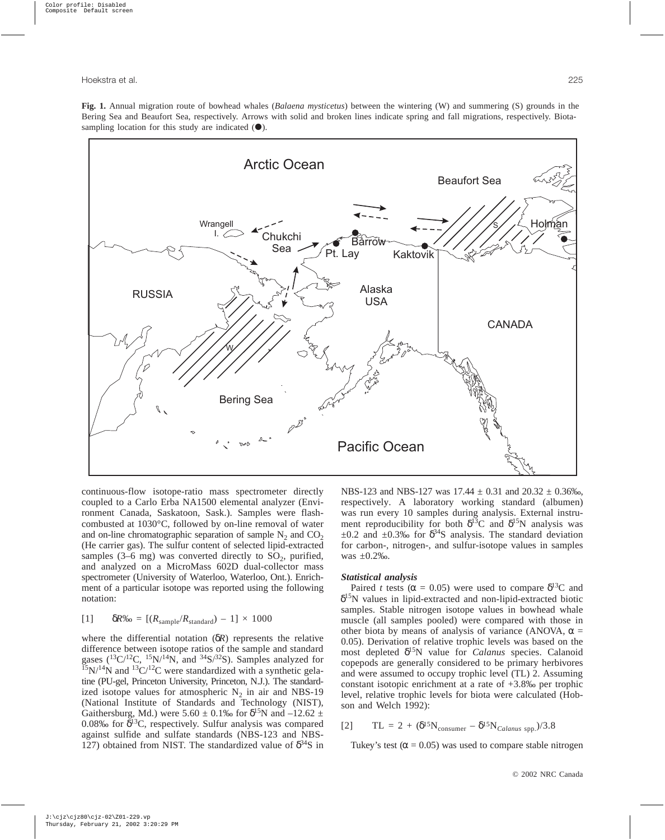**Fig. 1.** Annual migration route of bowhead whales (*Balaena mysticetus*) between the wintering (W) and summering (S) grounds in the Bering Sea and Beaufort Sea, respectively. Arrows with solid and broken lines indicate spring and fall migrations, respectively. Biotasampling location for this study are indicated  $(①)$ .



continuous-flow isotope-ratio mass spectrometer directly coupled to a Carlo Erba NA1500 elemental analyzer (Environment Canada, Saskatoon, Sask.). Samples were flashcombusted at 1030°C, followed by on-line removal of water and on-line chromatographic separation of sample  $N_2$  and  $CO_2$ (He carrier gas). The sulfur content of selected lipid-extracted samples (3–6 mg) was converted directly to  $SO_2$ , purified, and analyzed on a MicroMass 602D dual-collector mass spectrometer (University of Waterloo, Waterloo, Ont.). Enrichment of a particular isotope was reported using the following notation:

$$
[1] \qquad \delta R\% = [(R_{\text{sample}}/R_{\text{standard}}) - 1] \times 1000
$$

where the differential notation (δ*R*) represents the relative difference between isotope ratios of the sample and standard gases  $(^{13}C/^{12}C$ ,  $^{15}N/^{14}N$ , and  $^{34}S/^{32}S$ ). Samples analyzed for  $^{15}N/^{14}N$  and  $^{13}C/^{12}C$  were standardized with a synthetic gelatine (PU-gel, Princeton University, Princeton, N.J.). The standardized isotope values for atmospheric  $N_2$  in air and NBS-19 (National Institute of Standards and Technology (NIST), Gaithersburg, Md.) were 5.60  $\pm$  0.1‰ for  $\delta^{15}N$  and  $-12.62 \pm$ 0.08‰ for  $\delta^{13}C$ , respectively. Sulfur analysis was compared against sulfide and sulfate standards (NBS-123 and NBS-127) obtained from NIST. The standardized value of  $\delta^{34}S$  in

NBS-123 and NBS-127 was  $17.44 \pm 0.31$  and  $20.32 \pm 0.36\%$ , respectively. A laboratory working standard (albumen) was run every 10 samples during analysis. External instrument reproducibility for both  $\delta^{13}$ C and  $\delta^{15}$ N analysis was  $\pm 0.2$  and  $\pm 0.3\%$  for  $\delta^{34}$ S analysis. The standard deviation for carbon-, nitrogen-, and sulfur-isotope values in samples was ±0.2‰.

#### *Statistical analysis*

Paired *t* tests ( $\alpha$  = 0.05) were used to compare  $\delta^{13}$ C and  $\delta^{15}$ N values in lipid-extracted and non-lipid-extracted biotic samples. Stable nitrogen isotope values in bowhead whale muscle (all samples pooled) were compared with those in other biota by means of analysis of variance (ANOVA,  $\alpha$  = 0.05). Derivation of relative trophic levels was based on the most depleted δ15N value for *Calanus* species. Calanoid copepods are generally considered to be primary herbivores and were assumed to occupy trophic level (TL) 2. Assuming constant isotopic enrichment at a rate of  $+3.8\%$  per trophic level, relative trophic levels for biota were calculated (Hobson and Welch 1992):

$$
[2] \qquad TL = 2 + (\delta^{15}N_{\text{consumer}} - \delta^{15}N_{\text{Calanus spp.}})/3.8
$$

Tukey's test ( $\alpha$  = 0.05) was used to compare stable nitrogen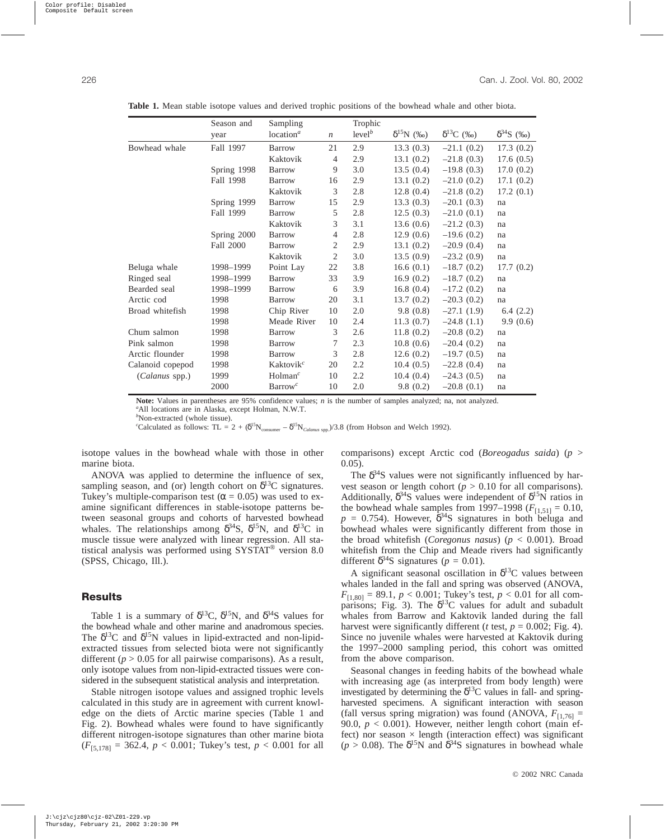|                  | Season and  | Sampling              |                  | Trophic            |                     |              |                     |
|------------------|-------------|-----------------------|------------------|--------------------|---------------------|--------------|---------------------|
|                  | year        | location <sup>a</sup> | $\boldsymbol{n}$ | level <sup>b</sup> | $\delta^{15}N$ (%o) | $δ13C$ (‰)   | $\delta^{34}S$ (%o) |
| Bowhead whale    | Fall 1997   | <b>Barrow</b>         | 21               | 2.9                | 13.3(0.3)           | $-21.1(0.2)$ | 17.3(0.2)           |
|                  |             | Kaktovik              | $\overline{4}$   | 2.9                | 13.1(0.2)           | $-21.8(0.3)$ | 17.6(0.5)           |
|                  | Spring 1998 | <b>Barrow</b>         | 9                | 3.0                | 13.5(0.4)           | $-19.8(0.3)$ | 17.0(0.2)           |
|                  | Fall 1998   | <b>Barrow</b>         | 16               | 2.9                | 13.1(0.2)           | $-21.0(0.2)$ | 17.1(0.2)           |
|                  |             | Kaktovik              | 3                | 2.8                | 12.8(0.4)           | $-21.8(0.2)$ | 17.2(0.1)           |
|                  | Spring 1999 | <b>Barrow</b>         | 15               | 2.9                | 13.3(0.3)           | $-20.1(0.3)$ | na                  |
|                  | Fall 1999   | <b>Barrow</b>         | 5                | 2.8                | 12.5(0.3)           | $-21.0(0.1)$ | na                  |
|                  |             | Kaktovik              | 3                | 3.1                | 13.6(0.6)           | $-21.2(0.3)$ | na                  |
|                  | Spring 2000 | <b>Barrow</b>         | $\overline{4}$   | 2.8                | 12.9(0.6)           | $-19.6(0.2)$ | na                  |
|                  | Fall 2000   | <b>Barrow</b>         | 2                | 2.9                | 13.1(0.2)           | $-20.9(0.4)$ | na                  |
|                  |             | Kaktovik              | 2                | 3.0                | 13.5(0.9)           | $-23.2(0.9)$ | na                  |
| Beluga whale     | 1998-1999   | Point Lay             | 22               | 3.8                | 16.6(0.1)           | $-18.7(0.2)$ | 17.7(0.2)           |
| Ringed seal      | 1998-1999   | <b>Barrow</b>         | 33               | 3.9                | 16.9(0.2)           | $-18.7(0.2)$ | na                  |
| Bearded seal     | 1998-1999   | <b>Barrow</b>         | 6                | 3.9                | 16.8(0.4)           | $-17.2(0.2)$ | na                  |
| Arctic cod       | 1998        | <b>Barrow</b>         | 20               | 3.1                | 13.7(0.2)           | $-20.3(0.2)$ | na                  |
| Broad whitefish  | 1998        | Chip River            | 10               | 2.0                | 9.8(0.8)            | $-27.1(1.9)$ | 6.4(2.2)            |
|                  | 1998        | Meade River           | 10               | 2.4                | 11.3(0.7)           | $-24.8(1.1)$ | 9.9(0.6)            |
| Chum salmon      | 1998        | <b>Barrow</b>         | 3                | 2.6                | 11.8(0.2)           | $-20.8(0.2)$ | na                  |
| Pink salmon      | 1998        | <b>Barrow</b>         | 7                | 2.3                | 10.8(0.6)           | $-20.4(0.2)$ | na                  |
| Arctic flounder  | 1998        | <b>Barrow</b>         | 3                | 2.8                | 12.6(0.2)           | $-19.7(0.5)$ | na                  |
| Calanoid copepod | 1998        | Kaktovik <sup>c</sup> | 20               | 2.2                | 10.4(0.5)           | $-22.8(0.4)$ | na                  |
| (Calanus spp.)   | 1999        | Holman <sup>c</sup>   | 10               | 2.2                | 10.4(0.4)           | $-24.3(0.5)$ | na                  |
|                  | 2000        | $\text{Barrow}^c$     | 10               | 2.0                | 9.8(0.2)            | $-20.8(0.1)$ | na                  |

**Table 1.** Mean stable isotope values and derived trophic positions of the bowhead whale and other biota.

**Note:** Values in parentheses are 95% confidence values; *n* is the number of samples analyzed; na, not analyzed. *a* All locations are in Alaska, except Holman, N.W.T.

*b* Non-extracted (whole tissue).

*c*Calculated as follows: TL = 2 + ( $\delta^{15}N_{\text{consumer}} - \delta^{15}N_{\text{Calanus spp.}}$ )/3.8 (from Hobson and Welch 1992).

isotope values in the bowhead whale with those in other marine biota.

ANOVA was applied to determine the influence of sex, sampling season, and (or) length cohort on  $\delta^{13}$ C signatures. Tukey's multiple-comparison test ( $\alpha$  = 0.05) was used to examine significant differences in stable-isotope patterns between seasonal groups and cohorts of harvested bowhead whales. The relationships among  $\delta^{34}S$ ,  $\delta^{15}N$ , and  $\delta^{13}C$  in muscle tissue were analyzed with linear regression. All statistical analysis was performed using SYSTAT® version 8.0 (SPSS, Chicago, Ill.).

# **Results**

Table 1 is a summary of  $\delta^{13}C$ ,  $\delta^{15}N$ , and  $\delta^{34}S$  values for the bowhead whale and other marine and anadromous species. The  $\delta^{13}$ C and  $\delta^{15}$ N values in lipid-extracted and non-lipidextracted tissues from selected biota were not significantly different ( $p > 0.05$  for all pairwise comparisons). As a result, only isotope values from non-lipid-extracted tissues were considered in the subsequent statistical analysis and interpretation.

Stable nitrogen isotope values and assigned trophic levels calculated in this study are in agreement with current knowledge on the diets of Arctic marine species (Table 1 and Fig. 2). Bowhead whales were found to have significantly different nitrogen-isotope signatures than other marine biota  $(F_{[5,178]} = 362.4, p < 0.001$ ; Tukey's test,  $p < 0.001$  for all comparisons) except Arctic cod (*Boreogadus saida*) (*p* > 0.05).

The  $\delta^{34}$ S values were not significantly influenced by harvest season or length cohort ( $p > 0.10$  for all comparisons). Additionally,  $\delta^{34}S$  values were independent of  $\delta^{15}N$  ratios in the bowhead whale samples from 1997–1998 ( $F_{[1,51]} = 0.10$ ,  $p = 0.754$ ). However,  $\delta^{34}$ S signatures in both beluga and bowhead whales were significantly different from those in the broad whitefish (*Coregonus nasus*) (*p* < 0.001). Broad whitefish from the Chip and Meade rivers had significantly different  $\delta^{34}$ S signatures (*p* = 0.01).

A significant seasonal oscillation in  $\delta^{13}C$  values between whales landed in the fall and spring was observed (ANOVA,  $F_{[1,80]} = 89.1, p < 0.001$ ; Tukey's test,  $p < 0.01$  for all comparisons; Fig. 3). The  $\delta^{13}$ C values for adult and subadult whales from Barrow and Kaktovik landed during the fall harvest were significantly different ( $t$  test,  $p = 0.002$ ; Fig. 4). Since no juvenile whales were harvested at Kaktovik during the 1997–2000 sampling period, this cohort was omitted from the above comparison.

Seasonal changes in feeding habits of the bowhead whale with increasing age (as interpreted from body length) were investigated by determining the  $\delta^{13}$ C values in fall- and springharvested specimens. A significant interaction with season (fall versus spring migration) was found (ANOVA,  $F_{[1,76]}$  = 90.0,  $p < 0.001$ ). However, neither length cohort (main effect) nor season  $\times$  length (interaction effect) was significant ( $p > 0.08$ ). The  $\delta^{15}$ N and  $\delta^{34}$ S signatures in bowhead whale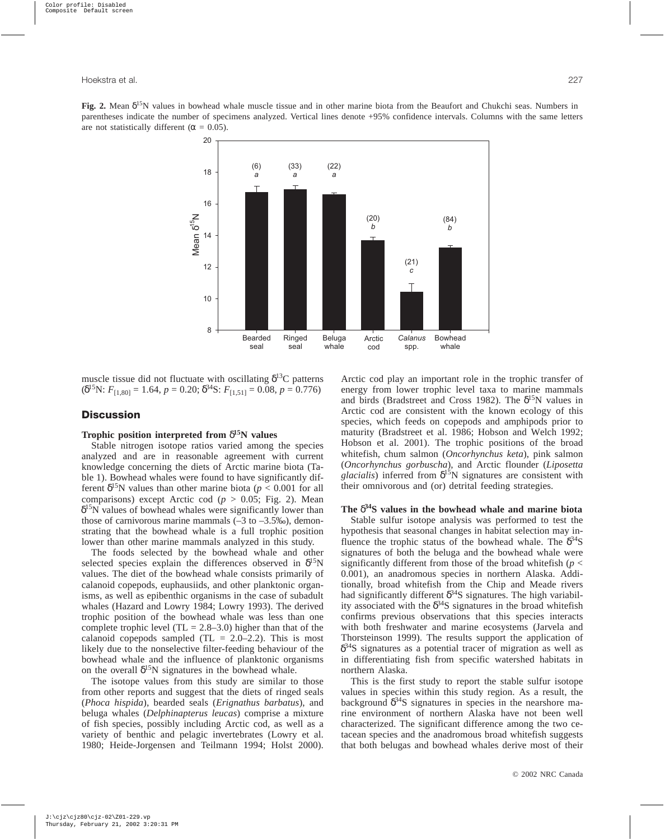**Fig. 2.** Mean  $\delta^{15}N$  values in bowhead whale muscle tissue and in other marine biota from the Beaufort and Chukchi seas. Numbers in parentheses indicate the number of specimens analyzed. Vertical lines denote +95% confidence intervals. Columns with the same letters are not statistically different ( $\alpha = 0.05$ ).



muscle tissue did not fluctuate with oscillating  $\delta^{13}C$  patterns  $(\delta^{15}N: F_{[1,80]} = 1.64, p = 0.20; \delta^{34}S: F_{[1,51]} = 0.08, p = 0.776)$ 

# **Discussion**

# **Trophic position interpreted from** δ**15N values**

Stable nitrogen isotope ratios varied among the species analyzed and are in reasonable agreement with current knowledge concerning the diets of Arctic marine biota (Table 1). Bowhead whales were found to have significantly different  $\delta^{15}N$  values than other marine biota ( $p < 0.001$  for all comparisons) except Arctic cod (*p* > 0.05; Fig. 2). Mean  $\delta^{15}$ N values of bowhead whales were significantly lower than those of carnivorous marine mammals  $(-3 \text{ to } -3.5\%)$ , demonstrating that the bowhead whale is a full trophic position lower than other marine mammals analyzed in this study.

The foods selected by the bowhead whale and other selected species explain the differences observed in  $\delta^{15}N$ values. The diet of the bowhead whale consists primarily of calanoid copepods, euphausiids, and other planktonic organisms, as well as epibenthic organisms in the case of subadult whales (Hazard and Lowry 1984; Lowry 1993). The derived trophic position of the bowhead whale was less than one complete trophic level  $(TL = 2.8-3.0)$  higher than that of the calanoid copepods sampled  $(TL = 2.0-2.2)$ . This is most likely due to the nonselective filter-feeding behaviour of the bowhead whale and the influence of planktonic organisms on the overall  $\delta^{15}N$  signatures in the bowhead whale.

The isotope values from this study are similar to those from other reports and suggest that the diets of ringed seals (*Phoca hispida*), bearded seals (*Erignathus barbatus*), and beluga whales (*Delphinapterus leucas*) comprise a mixture of fish species, possibly including Arctic cod, as well as a variety of benthic and pelagic invertebrates (Lowry et al. 1980; Heide-Jorgensen and Teilmann 1994; Holst 2000). Arctic cod play an important role in the trophic transfer of energy from lower trophic level taxa to marine mammals and birds (Bradstreet and Cross 1982). The  $\delta^{15}N$  values in Arctic cod are consistent with the known ecology of this species, which feeds on copepods and amphipods prior to maturity (Bradstreet et al. 1986; Hobson and Welch 1992; Hobson et al. 2001). The trophic positions of the broad whitefish, chum salmon (*Oncorhynchus keta*), pink salmon (*Oncorhynchus gorbuscha*), and Arctic flounder (*Liposetta*  $glacialis$ ) inferred from  $\delta^{15}N$  signatures are consistent with their omnivorous and (or) detrital feeding strategies.

## **The** δ**34S values in the bowhead whale and marine biota**

Stable sulfur isotope analysis was performed to test the hypothesis that seasonal changes in habitat selection may influence the trophic status of the bowhead whale. The  $\delta^{34}S$ signatures of both the beluga and the bowhead whale were significantly different from those of the broad whitefish ( $p <$ 0.001), an anadromous species in northern Alaska. Additionally, broad whitefish from the Chip and Meade rivers had significantly different  $\delta^{34}S$  signatures. The high variability associated with the  $\delta^{34}$ S signatures in the broad whitefish confirms previous observations that this species interacts with both freshwater and marine ecosystems (Jarvela and Thorsteinson 1999). The results support the application of  $\delta^{34}$ S signatures as a potential tracer of migration as well as in differentiating fish from specific watershed habitats in northern Alaska.

This is the first study to report the stable sulfur isotope values in species within this study region. As a result, the background  $\delta^{34}S$  signatures in species in the nearshore marine environment of northern Alaska have not been well characterized. The significant difference among the two cetacean species and the anadromous broad whitefish suggests that both belugas and bowhead whales derive most of their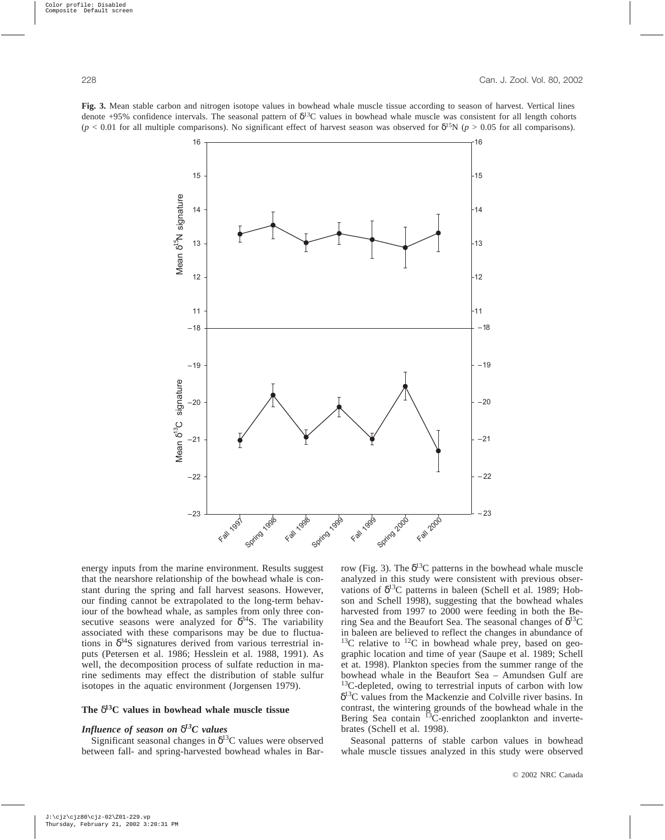**Fig. 3.** Mean stable carbon and nitrogen isotope values in bowhead whale muscle tissue according to season of harvest. Vertical lines denote +95% confidence intervals. The seasonal pattern of  $\delta^{13}C$  values in bowhead whale muscle was consistent for all length cohorts  $(p < 0.01$  for all multiple comparisons). No significant effect of harvest season was observed for  $\delta^{15}N$  ( $p > 0.05$  for all comparisons).



energy inputs from the marine environment. Results suggest that the nearshore relationship of the bowhead whale is constant during the spring and fall harvest seasons. However, our finding cannot be extrapolated to the long-term behaviour of the bowhead whale, as samples from only three consecutive seasons were analyzed for  $\delta^{34}S$ . The variability associated with these comparisons may be due to fluctuations in  $\delta^{34}S$  signatures derived from various terrestrial inputs (Petersen et al. 1986; Hesslein et al. 1988, 1991). As well, the decomposition process of sulfate reduction in marine sediments may effect the distribution of stable sulfur isotopes in the aquatic environment (Jorgensen 1979).

# **The** δ**13C values in bowhead whale muscle tissue**

# *Influence of season on* δ*13C values*

Significant seasonal changes in  $\delta^{13}$ C values were observed between fall- and spring-harvested bowhead whales in Barrow (Fig. 3). The  $\delta^{13}$ C patterns in the bowhead whale muscle analyzed in this study were consistent with previous observations of  $\delta^{13}$ C patterns in baleen (Schell et al. 1989; Hobson and Schell 1998), suggesting that the bowhead whales harvested from 1997 to 2000 were feeding in both the Bering Sea and the Beaufort Sea. The seasonal changes of  $\delta^{13}C$ in baleen are believed to reflect the changes in abundance of  $13C$  relative to  $12C$  in bowhead whale prey, based on geographic location and time of year (Saupe et al. 1989; Schell et at. 1998). Plankton species from the summer range of the bowhead whale in the Beaufort Sea – Amundsen Gulf are <sup>13</sup>C-depleted, owing to terrestrial inputs of carbon with low  $\delta^{13}$ C values from the Mackenzie and Colville river basins. In contrast, the wintering grounds of the bowhead whale in the Bering Sea contain <sup>13</sup>C-enriched zooplankton and invertebrates (Schell et al. 1998).

Seasonal patterns of stable carbon values in bowhead whale muscle tissues analyzed in this study were observed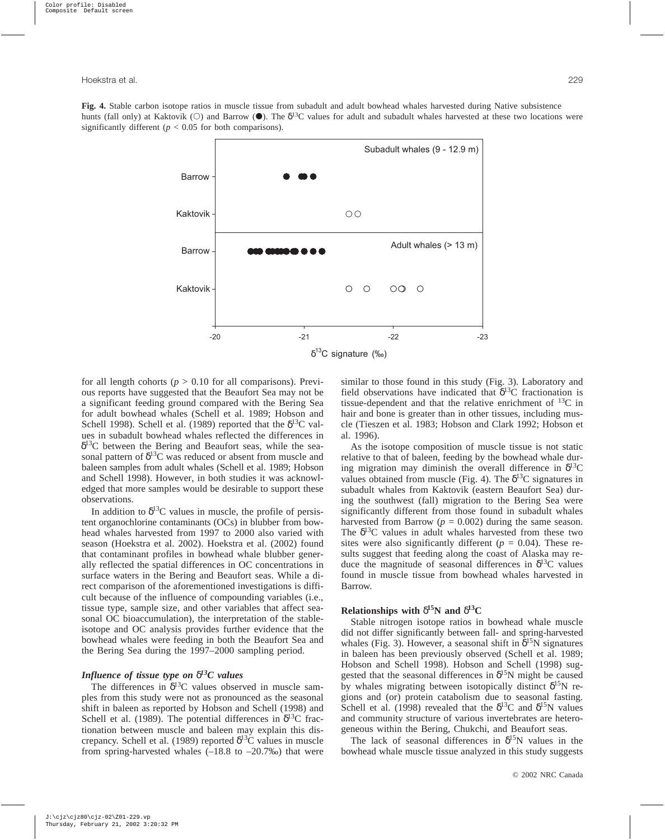**Fig. 4.** Stable carbon isotope ratios in muscle tissue from subadult and adult bowhead whales harvested during Native subsistence hunts (fall only) at Kaktovik ( $\odot$ ) and Barrow ( $\bullet$ ). The  $\delta^{13}C$  values for adult and subadult whales harvested at these two locations were significantly different ( $p < 0.05$  for both comparisons).



for all length cohorts ( $p > 0.10$  for all comparisons). Previous reports have suggested that the Beaufort Sea may not be a significant feeding ground compared with the Bering Sea for adult bowhead whales (Schell et al. 1989; Hobson and Schell 1998). Schell et al. (1989) reported that the  $\delta^{13}C$  values in subadult bowhead whales reflected the differences in  $\delta^{13}$ C between the Bering and Beaufort seas, while the seasonal pattern of  $\delta^{13}$ C was reduced or absent from muscle and baleen samples from adult whales (Schell et al. 1989; Hobson and Schell 1998). However, in both studies it was acknowledged that more samples would be desirable to support these observations.

In addition to  $\delta^{13}$ C values in muscle, the profile of persistent organochlorine contaminants (OCs) in blubber from bowhead whales harvested from 1997 to 2000 also varied with season (Hoekstra et al. 2002). Hoekstra et al. (2002) found that contaminant profiles in bowhead whale blubber generally reflected the spatial differences in OC concentrations in surface waters in the Bering and Beaufort seas. While a direct comparison of the aforementioned investigations is difficult because of the influence of compounding variables (i.e., tissue type, sample size, and other variables that affect seasonal OC bioaccumulation), the interpretation of the stableisotope and OC analysis provides further evidence that the bowhead whales were feeding in both the Beaufort Sea and the Bering Sea during the 1997–2000 sampling period.

## *Influence of tissue type on* δ*13C values*

The differences in  $\delta^{13}$ C values observed in muscle samples from this study were not as pronounced as the seasonal shift in baleen as reported by Hobson and Schell (1998) and Schell et al. (1989). The potential differences in  $\delta^{13}$ C fractionation between muscle and baleen may explain this discrepancy. Schell et al. (1989) reported  $\delta^{13}$ C values in muscle from spring-harvested whales  $(-18.8 \text{ to } -20.7\%)$  that were similar to those found in this study (Fig. 3). Laboratory and field observations have indicated that  $\delta^{13}$ C fractionation is tissue-dependent and that the relative enrichment of  $^{13}C$  in hair and bone is greater than in other tissues, including muscle (Tieszen et al. 1983; Hobson and Clark 1992; Hobson et al. 1996).

As the isotope composition of muscle tissue is not static relative to that of baleen, feeding by the bowhead whale during migration may diminish the overall difference in  $\delta^{13}C$ values obtained from muscle (Fig. 4). The  $\delta^{13}$ C signatures in subadult whales from Kaktovik (eastern Beaufort Sea) during the southwest (fall) migration to the Bering Sea were significantly different from those found in subadult whales harvested from Barrow ( $p = 0.002$ ) during the same season. The  $\delta^{13}$ C values in adult whales harvested from these two sites were also significantly different ( $p = 0.04$ ). These results suggest that feeding along the coast of Alaska may reduce the magnitude of seasonal differences in  $\delta^{13}$ C values found in muscle tissue from bowhead whales harvested in Barrow.

## **Relationships with**  $\delta^{15}N$  and  $\delta^{13}C$

Stable nitrogen isotope ratios in bowhead whale muscle did not differ significantly between fall- and spring-harvested whales (Fig. 3). However, a seasonal shift in  $\delta^{15}N$  signatures in baleen has been previously observed (Schell et al. 1989; Hobson and Schell 1998). Hobson and Schell (1998) suggested that the seasonal differences in  $\delta^{15}N$  might be caused by whales migrating between isotopically distinct  $\delta^{15}N$  regions and (or) protein catabolism due to seasonal fasting. Schell et al. (1998) revealed that the  $\delta^{13}$ C and  $\delta^{15}$ N values and community structure of various invertebrates are heterogeneous within the Bering, Chukchi, and Beaufort seas.

The lack of seasonal differences in  $\delta^{15}N$  values in the bowhead whale muscle tissue analyzed in this study suggests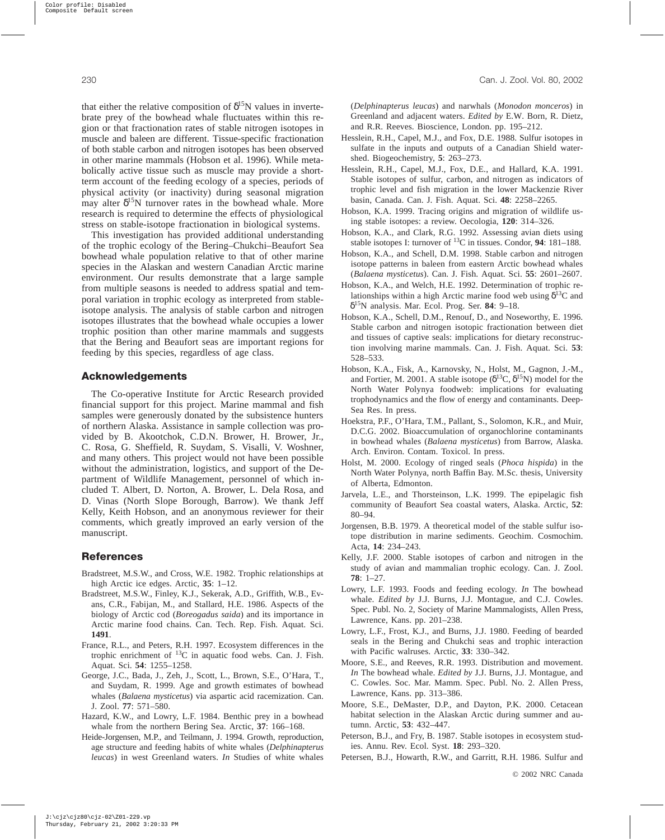that either the relative composition of  $\delta^{15}N$  values in invertebrate prey of the bowhead whale fluctuates within this region or that fractionation rates of stable nitrogen isotopes in muscle and baleen are different. Tissue-specific fractionation of both stable carbon and nitrogen isotopes has been observed in other marine mammals (Hobson et al. 1996). While metabolically active tissue such as muscle may provide a shortterm account of the feeding ecology of a species, periods of physical activity (or inactivity) during seasonal migration may alter  $\delta^{15}N$  turnover rates in the bowhead whale. More research is required to determine the effects of physiological stress on stable-isotope fractionation in biological systems.

This investigation has provided additional understanding of the trophic ecology of the Bering–Chukchi–Beaufort Sea bowhead whale population relative to that of other marine species in the Alaskan and western Canadian Arctic marine environment. Our results demonstrate that a large sample from multiple seasons is needed to address spatial and temporal variation in trophic ecology as interpreted from stableisotope analysis. The analysis of stable carbon and nitrogen isotopes illustrates that the bowhead whale occupies a lower trophic position than other marine mammals and suggests that the Bering and Beaufort seas are important regions for feeding by this species, regardless of age class.

# **Acknowledgements**

The Co-operative Institute for Arctic Research provided financial support for this project. Marine mammal and fish samples were generously donated by the subsistence hunters of northern Alaska. Assistance in sample collection was provided by B. Akootchok, C.D.N. Brower, H. Brower, Jr., C. Rosa, G. Sheffield, R. Suydam, S. Visalli, V. Woshner, and many others. This project would not have been possible without the administration, logistics, and support of the Department of Wildlife Management, personnel of which included T. Albert, D. Norton, A. Brower, L. Dela Rosa, and D. Vinas (North Slope Borough, Barrow). We thank Jeff Kelly, Keith Hobson, and an anonymous reviewer for their comments, which greatly improved an early version of the manuscript.

# **References**

- Bradstreet, M.S.W., and Cross, W.E. 1982. Trophic relationships at high Arctic ice edges. Arctic, **35**: 1–12.
- Bradstreet, M.S.W., Finley, K.J., Sekerak, A.D., Griffith, W.B., Evans, C.R., Fabijan, M., and Stallard, H.E. 1986. Aspects of the biology of Arctic cod (*Boreogadus saida*) and its importance in Arctic marine food chains. Can. Tech. Rep. Fish. Aquat. Sci. **1491**.
- France, R.L., and Peters, R.H. 1997. Ecosystem differences in the trophic enrichment of 13C in aquatic food webs. Can. J. Fish. Aquat. Sci. **54**: 1255–1258.
- George, J.C., Bada, J., Zeh, J., Scott, L., Brown, S.E., O'Hara, T., and Suydam, R. 1999. Age and growth estimates of bowhead whales (*Balaena mysticetus*) via aspartic acid racemization. Can. J. Zool. **77**: 571–580.
- Hazard, K.W., and Lowry, L.F. 1984. Benthic prey in a bowhead whale from the northern Bering Sea. Arctic, **37**: 166–168.
- Heide-Jorgensen, M.P., and Teilmann, J. 1994. Growth, reproduction, age structure and feeding habits of white whales (*Delphinapterus leucas*) in west Greenland waters. *In* Studies of white whales

(*Delphinapterus leucas*) and narwhals (*Monodon monceros*) in Greenland and adjacent waters. *Edited by* E.W. Born, R. Dietz, and R.R. Reeves. Bioscience, London. pp. 195–212.

- Hesslein, R.H., Capel, M.J., and Fox, D.E. 1988. Sulfur isotopes in sulfate in the inputs and outputs of a Canadian Shield watershed. Biogeochemistry, **5**: 263–273.
- Hesslein, R.H., Capel, M.J., Fox, D.E., and Hallard, K.A. 1991. Stable isotopes of sulfur, carbon, and nitrogen as indicators of trophic level and fish migration in the lower Mackenzie River basin, Canada. Can. J. Fish. Aquat. Sci. **48**: 2258–2265.
- Hobson, K.A. 1999. Tracing origins and migration of wildlife using stable isotopes: a review. Oecologia, **120**: 314–326.
- Hobson, K.A., and Clark, R.G. 1992. Assessing avian diets using stable isotopes I: turnover of 13C in tissues. Condor, **94**: 181–188.
- Hobson, K.A., and Schell, D.M. 1998. Stable carbon and nitrogen isotope patterns in baleen from eastern Arctic bowhead whales (*Balaena mysticetus*). Can. J. Fish. Aquat. Sci. **55**: 2601–2607.
- Hobson, K.A., and Welch, H.E. 1992. Determination of trophic relationships within a high Arctic marine food web using  $\delta^{13}C$  and δ15N analysis. Mar. Ecol. Prog. Ser. **84**: 9–18.
- Hobson, K.A., Schell, D.M., Renouf, D., and Noseworthy, E. 1996. Stable carbon and nitrogen isotopic fractionation between diet and tissues of captive seals: implications for dietary reconstruction involving marine mammals. Can. J. Fish. Aquat. Sci. **53**: 528–533.
- Hobson, K.A., Fisk, A., Karnovsky, N., Holst, M., Gagnon, J.-M., and Fortier, M. 2001. A stable isotope ( $\delta^{13}C$ ,  $\delta^{15}N$ ) model for the North Water Polynya foodweb: implications for evaluating trophodynamics and the flow of energy and contaminants. Deep-Sea Res. In press.
- Hoekstra, P.F., O'Hara, T.M., Pallant, S., Solomon, K.R., and Muir, D.C.G. 2002. Bioaccumulation of organochlorine contaminants in bowhead whales (*Balaena mysticetus*) from Barrow, Alaska. Arch. Environ. Contam. Toxicol. In press.
- Holst, M. 2000. Ecology of ringed seals (*Phoca hispida*) in the North Water Polynya, north Baffin Bay. M.Sc. thesis, University of Alberta, Edmonton.
- Jarvela, L.E., and Thorsteinson, L.K. 1999. The epipelagic fish community of Beaufort Sea coastal waters, Alaska. Arctic, **52**: 80–94.
- Jorgensen, B.B. 1979. A theoretical model of the stable sulfur isotope distribution in marine sediments. Geochim. Cosmochim. Acta, **14**: 234–243.
- Kelly, J.F. 2000. Stable isotopes of carbon and nitrogen in the study of avian and mammalian trophic ecology. Can. J. Zool. **78**: 1–27.
- Lowry, L.F. 1993. Foods and feeding ecology. *In* The bowhead whale. *Edited by* J.J. Burns, J.J. Montague, and C.J. Cowles. Spec. Publ. No. 2, Society of Marine Mammalogists, Allen Press, Lawrence, Kans. pp. 201–238.
- Lowry, L.F., Frost, K.J., and Burns, J.J. 1980. Feeding of bearded seals in the Bering and Chukchi seas and trophic interaction with Pacific walruses. Arctic, **33**: 330–342.
- Moore, S.E., and Reeves, R.R. 1993. Distribution and movement. *In* The bowhead whale. *Edited by* J.J. Burns, J.J. Montague, and C. Cowles. Soc. Mar. Mamm. Spec. Publ. No. 2. Allen Press, Lawrence, Kans. pp. 313–386.
- Moore, S.E., DeMaster, D.P., and Dayton, P.K. 2000. Cetacean habitat selection in the Alaskan Arctic during summer and autumn. Arctic, **53**: 432–447.
- Peterson, B.J., and Fry, B. 1987. Stable isotopes in ecosystem studies. Annu. Rev. Ecol. Syst. **18**: 293–320.

Petersen, B.J., Howarth, R.W., and Garritt, R.H. 1986. Sulfur and